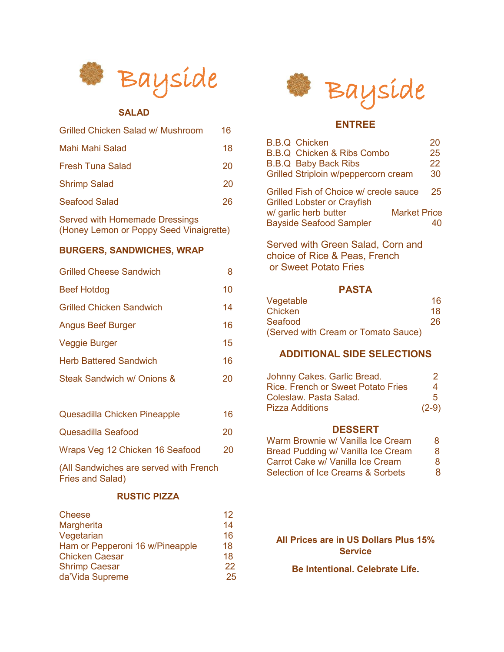

## **SALAD**

| Grilled Chicken Salad w/ Mushroom | 16 |
|-----------------------------------|----|
| Mahi Mahi Salad                   | 18 |
| Fresh Tuna Salad                  | 20 |
| <b>Shrimp Salad</b>               | 20 |
| Seafood Salad                     | 26 |
|                                   |    |

Served with Homemade Dressings (Honey Lemon or Poppy Seed Vinaigrette)

## **BURGERS, SANDWICHES, WRAP**

| <b>Grilled Cheese Sandwich</b>  | 8  |
|---------------------------------|----|
| <b>Beef Hotdog</b>              | 10 |
| <b>Grilled Chicken Sandwich</b> | 14 |
| <b>Angus Beef Burger</b>        | 16 |
| <b>Veggie Burger</b>            | 15 |
| <b>Herb Battered Sandwich</b>   | 16 |
| Steak Sandwich w/ Onions &      | 20 |
|                                 |    |

- Quesadilla Chicken Pineapple 16 Quesadilla Seafood 20
- Wraps Veg 12 Chicken 16 Seafood 20

(All Sandwiches are served with French Fries and Salad)

#### **RUSTIC PIZZA**

| <b>Cheese</b>                   | 12 |
|---------------------------------|----|
| Margherita                      | 14 |
| Vegetarian                      | 16 |
| Ham or Pepperoni 16 w/Pineapple | 18 |
| <b>Chicken Caesar</b>           | 18 |
| <b>Shrimp Caesar</b>            | 22 |
| da'Vida Supreme                 | 25 |



# **ENTREE**

| <b>B.B.Q Chicken</b>                                                         | 20 |
|------------------------------------------------------------------------------|----|
| <b>B.B.Q Chicken &amp; Ribs Combo</b>                                        | 25 |
| <b>B.B.Q Baby Back Ribs</b>                                                  | 22 |
| Grilled Striploin w/peppercorn cream                                         | 30 |
| Grilled Fish of Choice w/ creole sauce<br><b>Grilled Lobster or Crayfish</b> | 25 |
| w/ garlic herb butter<br><b>Market Price</b>                                 |    |
| <b>Bayside Seafood Sampler</b>                                               | 40 |

Served with Green Salad, Corn and choice of Rice & Peas, French or Sweet Potato Fries

#### **PASTA**

| Vegetable                           | 16 |
|-------------------------------------|----|
| Chicken                             | 18 |
| Seafood                             | 26 |
| (Served with Cream or Tomato Sauce) |    |

# **ADDITIONAL SIDE SELECTIONS**

| Johnny Cakes. Garlic Bread.        | $\mathcal{D}_{\mathcal{A}}^{\mathcal{A}}(\mathcal{A})=\mathcal{D}_{\mathcal{A}}^{\mathcal{A}}(\mathcal{A})\oplus\mathcal{D}_{\mathcal{A}}^{\mathcal{A}}(\mathcal{A})$ |
|------------------------------------|-----------------------------------------------------------------------------------------------------------------------------------------------------------------------|
| Rice, French or Sweet Potato Fries | 4                                                                                                                                                                     |
| Coleslaw. Pasta Salad.             | 5.                                                                                                                                                                    |
| Pizza Additions                    | $(2-9)$                                                                                                                                                               |

#### **DESSERT**

| Warm Brownie w/ Vanilla Ice Cream            | 8 |
|----------------------------------------------|---|
| Bread Pudding w/ Vanilla Ice Cream           | 8 |
| Carrot Cake w/ Vanilla Ice Cream             | 8 |
| <b>Selection of Ice Creams &amp; Sorbets</b> | 8 |

**All Prices are in US Dollars Plus 15% Service** 

**Be Intentional. Celebrate Life.**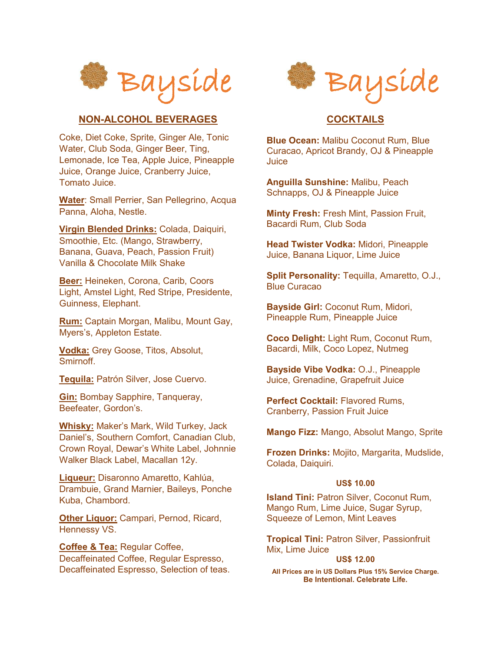

## **NON-ALCOHOL BEVERAGES**

Coke, Diet Coke, Sprite, Ginger Ale, Tonic Water, Club Soda, Ginger Beer, Ting, Lemonade, Ice Tea, Apple Juice, Pineapple Juice, Orange Juice, Cranberry Juice, Tomato Juice.

**Water**: Small Perrier, San Pellegrino, Acqua Panna, Aloha, Nestle.

**Virgin Blended Drinks:** Colada, Daiquiri, Smoothie, Etc. (Mango, Strawberry, Banana, Guava, Peach, Passion Fruit) Vanilla & Chocolate Milk Shake

**Beer:** Heineken, Corona, Carib, Coors Light, Amstel Light, Red Stripe, Presidente, Guinness, Elephant.

**Rum:** Captain Morgan, Malibu, Mount Gay, Myers's, Appleton Estate.

**Vodka:** Grey Goose, Titos, Absolut, **Smirnoff** 

**Tequila:** Patrón Silver, Jose Cuervo.

**Gin:** Bombay Sapphire, Tanqueray, Beefeater, Gordon's.

**Whisky:** Maker's Mark, Wild Turkey, Jack Daniel's, Southern Comfort, Canadian Club, Crown Royal, Dewar's White Label, Johnnie Walker Black Label, Macallan 12y.

**Liqueur:** Disaronno Amaretto, Kahlúa, Drambuie, Grand Marnier, Baileys, Ponche Kuba, Chambord.

**Other Liquor:** Campari, Pernod, Ricard, Hennessy VS.

**Coffee & Tea:** Regular Coffee, Decaffeinated Coffee, Regular Espresso, Decaffeinated Espresso, Selection of teas.



## **COCKTAILS**

**Blue Ocean:** Malibu Coconut Rum, Blue Curacao, Apricot Brandy, OJ & Pineapple Juice

**Anguilla Sunshine:** Malibu, Peach Schnapps, OJ & Pineapple Juice

**Minty Fresh:** Fresh Mint, Passion Fruit, Bacardi Rum, Club Soda

**Head Twister Vodka:** Midori, Pineapple Juice, Banana Liquor, Lime Juice

**Split Personality:** Tequilla, Amaretto, O.J., Blue Curacao

**Bayside Girl:** Coconut Rum, Midori, Pineapple Rum, Pineapple Juice

**Coco Delight:** Light Rum, Coconut Rum, Bacardi, Milk, Coco Lopez, Nutmeg

**Bayside Vibe Vodka:** O.J., Pineapple Juice, Grenadine, Grapefruit Juice

**Perfect Cocktail:** Flavored Rums, Cranberry, Passion Fruit Juice

**Mango Fizz:** Mango, Absolut Mango, Sprite

**Frozen Drinks:** Mojito, Margarita, Mudslide, Colada, Daiquiri.

#### **US\$ 10.00**

**Island Tini:** Patron Silver, Coconut Rum, Mango Rum, Lime Juice, Sugar Syrup, Squeeze of Lemon, Mint Leaves

**Tropical Tini:** Patron Silver, Passionfruit Mix, Lime Juice

#### **US\$ 12.00**

**All Prices are in US Dollars Plus 15% Service Charge. Be Intentional. Celebrate Life.**